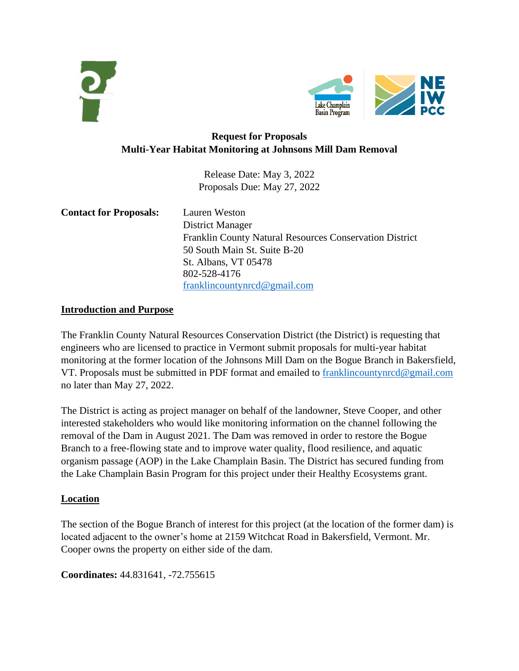



# **Request for Proposals Multi-Year Habitat Monitoring at Johnsons Mill Dam Removal**

Release Date: May 3, 2022 Proposals Due: May 27, 2022

| <b>Contact for Proposals:</b> | Lauren Weston                                                  |
|-------------------------------|----------------------------------------------------------------|
|                               | District Manager                                               |
|                               | <b>Franklin County Natural Resources Conservation District</b> |
|                               | 50 South Main St. Suite B-20                                   |
|                               | St. Albans, VT 05478                                           |
|                               | 802-528-4176                                                   |
|                               | franklineountynred@gmail.com                                   |

#### **Introduction and Purpose**

The Franklin County Natural Resources Conservation District (the District) is requesting that engineers who are licensed to practice in Vermont submit proposals for multi-year habitat monitoring at the former location of the Johnsons Mill Dam on the Bogue Branch in Bakersfield, VT. Proposals must be submitted in PDF format and emailed to [franklincountynrcd@gmail.com](mailto:franklincountynrcd@gmail.com) no later than May 27, 2022.

The District is acting as project manager on behalf of the landowner, Steve Cooper, and other interested stakeholders who would like monitoring information on the channel following the removal of the Dam in August 2021. The Dam was removed in order to restore the Bogue Branch to a free-flowing state and to improve water quality, flood resilience, and aquatic organism passage (AOP) in the Lake Champlain Basin. The District has secured funding from the Lake Champlain Basin Program for this project under their Healthy Ecosystems grant.

#### **Location**

The section of the Bogue Branch of interest for this project (at the location of the former dam) is located adjacent to the owner's home at 2159 Witchcat Road in Bakersfield, Vermont. Mr. Cooper owns the property on either side of the dam.

**Coordinates:** 44.831641, -72.755615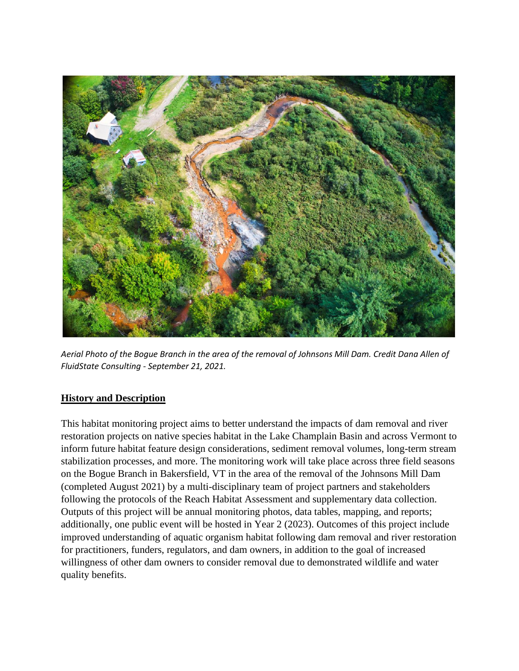

*Aerial Photo of the Bogue Branch in the area of the removal of Johnsons Mill Dam. Credit Dana Allen of FluidState Consulting - September 21, 2021.*

# **History and Description**

This habitat monitoring project aims to better understand the impacts of dam removal and river restoration projects on native species habitat in the Lake Champlain Basin and across Vermont to inform future habitat feature design considerations, sediment removal volumes, long-term stream stabilization processes, and more. The monitoring work will take place across three field seasons on the Bogue Branch in Bakersfield, VT in the area of the removal of the Johnsons Mill Dam (completed August 2021) by a multi-disciplinary team of project partners and stakeholders following the protocols of the Reach Habitat Assessment and supplementary data collection. Outputs of this project will be annual monitoring photos, data tables, mapping, and reports; additionally, one public event will be hosted in Year 2 (2023). Outcomes of this project include improved understanding of aquatic organism habitat following dam removal and river restoration for practitioners, funders, regulators, and dam owners, in addition to the goal of increased willingness of other dam owners to consider removal due to demonstrated wildlife and water quality benefits.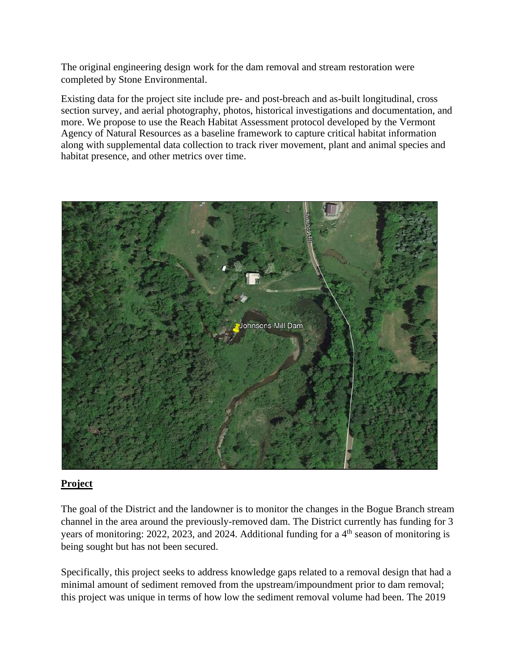The original engineering design work for the dam removal and stream restoration were completed by Stone Environmental.

Existing data for the project site include pre- and post-breach and as-built longitudinal, cross section survey, and aerial photography, photos, historical investigations and documentation, and more. We propose to use the Reach Habitat Assessment protocol developed by the Vermont Agency of Natural Resources as a baseline framework to capture critical habitat information along with supplemental data collection to track river movement, plant and animal species and habitat presence, and other metrics over time.



#### **Project**

The goal of the District and the landowner is to monitor the changes in the Bogue Branch stream channel in the area around the previously-removed dam. The District currently has funding for 3 years of monitoring: 2022, 2023, and 2024. Additional funding for a 4<sup>th</sup> season of monitoring is being sought but has not been secured.

Specifically, this project seeks to address knowledge gaps related to a removal design that had a minimal amount of sediment removed from the upstream/impoundment prior to dam removal; this project was unique in terms of how low the sediment removal volume had been. The 2019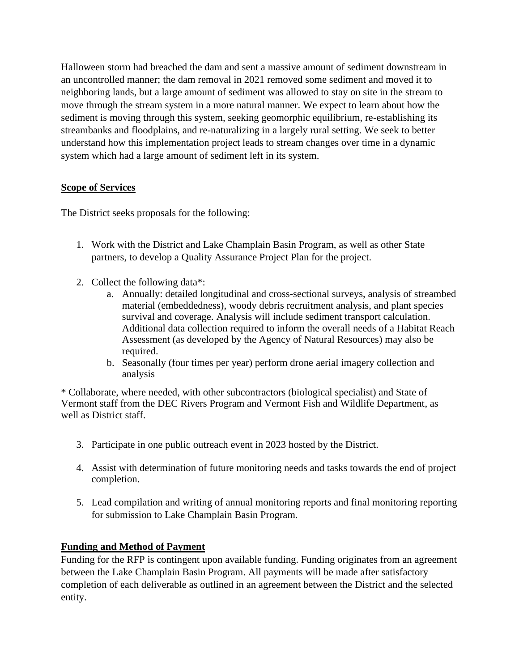Halloween storm had breached the dam and sent a massive amount of sediment downstream in an uncontrolled manner; the dam removal in 2021 removed some sediment and moved it to neighboring lands, but a large amount of sediment was allowed to stay on site in the stream to move through the stream system in a more natural manner. We expect to learn about how the sediment is moving through this system, seeking geomorphic equilibrium, re-establishing its streambanks and floodplains, and re-naturalizing in a largely rural setting. We seek to better understand how this implementation project leads to stream changes over time in a dynamic system which had a large amount of sediment left in its system.

## **Scope of Services**

The District seeks proposals for the following:

- 1. Work with the District and Lake Champlain Basin Program, as well as other State partners, to develop a Quality Assurance Project Plan for the project.
- 2. Collect the following data\*:
	- a. Annually: detailed longitudinal and cross-sectional surveys, analysis of streambed material (embeddedness), woody debris recruitment analysis, and plant species survival and coverage. Analysis will include sediment transport calculation. Additional data collection required to inform the overall needs of a Habitat Reach Assessment (as developed by the Agency of Natural Resources) may also be required.
	- b. Seasonally (four times per year) perform drone aerial imagery collection and analysis

\* Collaborate, where needed, with other subcontractors (biological specialist) and State of Vermont staff from the DEC Rivers Program and Vermont Fish and Wildlife Department, as well as District staff.

- 3. Participate in one public outreach event in 2023 hosted by the District.
- 4. Assist with determination of future monitoring needs and tasks towards the end of project completion.
- 5. Lead compilation and writing of annual monitoring reports and final monitoring reporting for submission to Lake Champlain Basin Program.

#### **Funding and Method of Payment**

Funding for the RFP is contingent upon available funding. Funding originates from an agreement between the Lake Champlain Basin Program. All payments will be made after satisfactory completion of each deliverable as outlined in an agreement between the District and the selected entity.